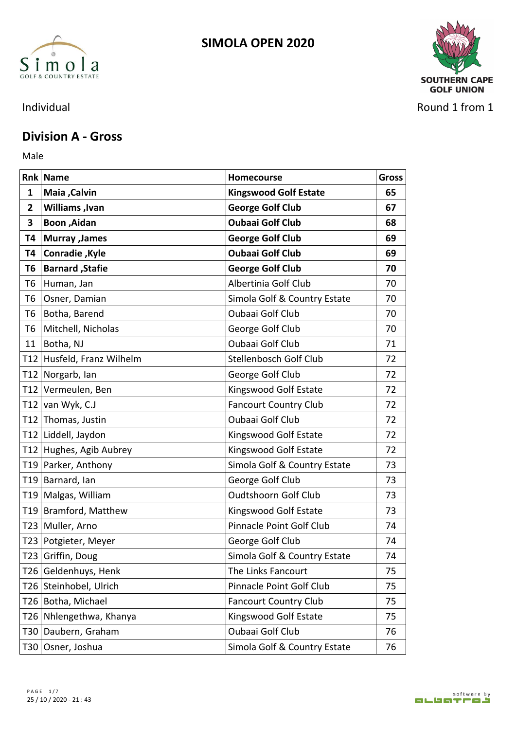



Individual Round 1 from 1

### **Division A - Gross**

Male **Male** 

|              | <b>Rnk Name</b>            | Homecourse                   | <b>Gross</b> |
|--------------|----------------------------|------------------------------|--------------|
| 1            | Maia, Calvin               | <b>Kingswood Golf Estate</b> | 65           |
| $\mathbf{2}$ | <b>Williams, Ivan</b>      | <b>George Golf Club</b>      | 67           |
| 3            | <b>Boon</b> , Aidan        | <b>Oubaai Golf Club</b>      | 68           |
|              | <b>T4   Murray , James</b> | <b>George Golf Club</b>      | 69           |
|              | T4   Conradie , Kyle       | <b>Oubaai Golf Club</b>      | 69           |
|              | <b>T6 Barnard, Stafie</b>  | <b>George Golf Club</b>      | 70           |
|              | T6 Human, Jan              | Albertinia Golf Club         | 70           |
| T6           | Osner, Damian              | Simola Golf & Country Estate | 70           |
|              | T6 Botha, Barend           | Oubaai Golf Club             | 70           |
|              | T6   Mitchell, Nicholas    | George Golf Club             | 70           |
|              | 11   Botha, NJ             | Oubaai Golf Club             | 71           |
|              | T12 Husfeld, Franz Wilhelm | Stellenbosch Golf Club       | 72           |
|              | T12 Norgarb, Ian           | George Golf Club             | 72           |
|              | T12 Vermeulen, Ben         | Kingswood Golf Estate        | 72           |
|              | T12 van Wyk, C.J           | <b>Fancourt Country Club</b> | 72           |
|              | T12 Thomas, Justin         | Oubaai Golf Club             | 72           |
|              | T12 Liddell, Jaydon        | Kingswood Golf Estate        | 72           |
|              | T12 Hughes, Agib Aubrey    | Kingswood Golf Estate        | 72           |
|              | T19 Parker, Anthony        | Simola Golf & Country Estate | 73           |
|              | T19 Barnard, Ian           | George Golf Club             | 73           |
|              | T19 Malgas, William        | <b>Oudtshoorn Golf Club</b>  | 73           |
|              | T19 Bramford, Matthew      | Kingswood Golf Estate        | 73           |
|              | T23 Muller, Arno           | Pinnacle Point Golf Club     | 74           |
|              | T23   Potgieter, Meyer     | George Golf Club             | 74           |
|              | T23 Griffin, Doug          | Simola Golf & Country Estate | 74           |
|              | T26 Geldenhuys, Henk       | The Links Fancourt           | 75           |
|              | T26 Steinhobel, Ulrich     | Pinnacle Point Golf Club     | 75           |
|              | T26 Botha, Michael         | <b>Fancourt Country Club</b> | 75           |
|              | T26 Nhlengethwa, Khanya    | Kingswood Golf Estate        | 75           |
|              | T30 Daubern, Graham        | Oubaai Golf Club             | 76           |
|              | T30 Osner, Joshua          | Simola Golf & Country Estate | 76           |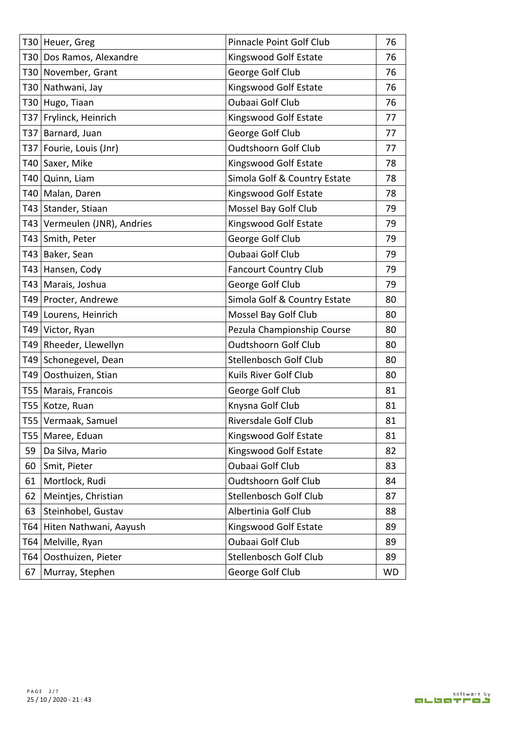|    | T30 Heuer, Greg              | Pinnacle Point Golf Club     | 76        |
|----|------------------------------|------------------------------|-----------|
|    | T30 Dos Ramos, Alexandre     | Kingswood Golf Estate        | 76        |
|    | T30 November, Grant          | George Golf Club             | 76        |
|    | T30 Nathwani, Jay            | Kingswood Golf Estate        | 76        |
|    | T30 Hugo, Tiaan              | Oubaai Golf Club             | 76        |
|    | T37 Frylinck, Heinrich       | Kingswood Golf Estate        | 77        |
|    | T37 Barnard, Juan            | George Golf Club             | 77        |
|    | T37 Fourie, Louis (Jnr)      | <b>Oudtshoorn Golf Club</b>  | 77        |
|    | T40 Saxer, Mike              | Kingswood Golf Estate        | 78        |
|    | T40 Quinn, Liam              | Simola Golf & Country Estate | 78        |
|    | T40 Malan, Daren             | Kingswood Golf Estate        | 78        |
|    | T43 Stander, Stiaan          | Mossel Bay Golf Club         | 79        |
|    | T43 Vermeulen (JNR), Andries | Kingswood Golf Estate        | 79        |
|    | T43 Smith, Peter             | George Golf Club             | 79        |
|    | T43 Baker, Sean              | Oubaai Golf Club             | 79        |
|    | T43 Hansen, Cody             | <b>Fancourt Country Club</b> | 79        |
|    | T43   Marais, Joshua         | George Golf Club             | 79        |
|    | T49 Procter, Andrewe         | Simola Golf & Country Estate | 80        |
|    | T49 Lourens, Heinrich        | Mossel Bay Golf Club         | 80        |
|    | T49 Victor, Ryan             | Pezula Championship Course   | 80        |
|    | T49 Rheeder, Llewellyn       | <b>Oudtshoorn Golf Club</b>  | 80        |
|    | T49 Schonegevel, Dean        | Stellenbosch Golf Club       | 80        |
|    | T49 Oosthuizen, Stian        | Kuils River Golf Club        | 80        |
|    | T55   Marais, Francois       | George Golf Club             | 81        |
|    | T55 Kotze, Ruan              | Knysna Golf Club             | 81        |
|    | T55 Vermaak, Samuel          | Riversdale Golf Club         | 81        |
|    | T55   Maree, Eduan           | Kingswood Golf Estate        | 81        |
| 59 | Da Silva, Mario              | Kingswood Golf Estate        | 82        |
|    | 60   Smit, Pieter            | Oubaai Golf Club             | 83        |
| 61 | Mortlock, Rudi               | <b>Oudtshoorn Golf Club</b>  | 84        |
| 62 | Meintjes, Christian          | Stellenbosch Golf Club       | 87        |
| 63 | Steinhobel, Gustav           | Albertinia Golf Club         | 88        |
|    | T64 Hiten Nathwani, Aayush   | Kingswood Golf Estate        | 89        |
|    | T64   Melville, Ryan         | Oubaai Golf Club             | 89        |
|    | T64 Oosthuizen, Pieter       | Stellenbosch Golf Club       | 89        |
|    | 67   Murray, Stephen         | George Golf Club             | <b>WD</b> |
|    |                              |                              |           |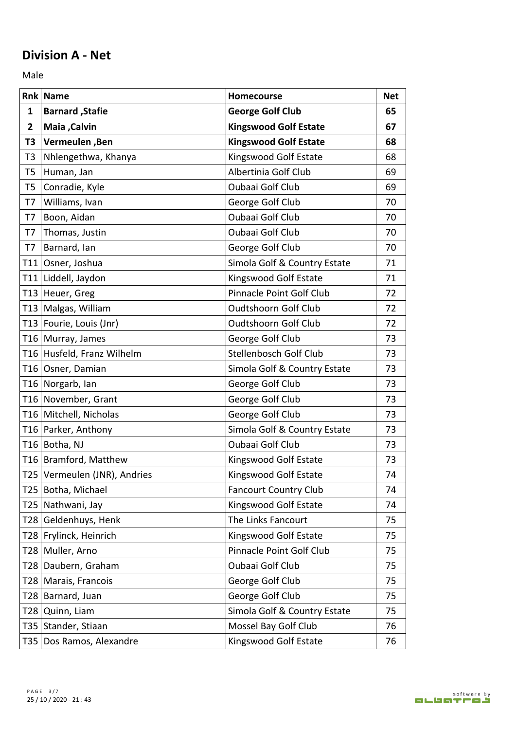## **Division A - Net**

Male **Male** 

|             | Rnk Name                     | Homecourse                   | <b>Net</b> |
|-------------|------------------------------|------------------------------|------------|
| 1           | <b>Barnard</b> , Stafie      | <b>George Golf Club</b>      | 65         |
| $2^{\circ}$ | <b>Maia</b> , Calvin         | <b>Kingswood Golf Estate</b> | 67         |
| T3          | Vermeulen, Ben               | <b>Kingswood Golf Estate</b> | 68         |
| T3          | Nhlengethwa, Khanya          | Kingswood Golf Estate        | 68         |
| T5          | Human, Jan                   | Albertinia Golf Club         | 69         |
| T5          | Conradie, Kyle               | <b>Oubaai Golf Club</b>      | 69         |
| T7          | Williams, Ivan               | George Golf Club             | 70         |
| T7          | Boon, Aidan                  | Oubaai Golf Club             | 70         |
| T7          | Thomas, Justin               | Oubaai Golf Club             | 70         |
| T7          | Barnard, Ian                 | George Golf Club             | 70         |
|             | T11 Osner, Joshua            | Simola Golf & Country Estate | 71         |
|             | T11 Liddell, Jaydon          | Kingswood Golf Estate        | 71         |
|             | T13 Heuer, Greg              | Pinnacle Point Golf Club     | 72         |
|             | T13 Malgas, William          | <b>Oudtshoorn Golf Club</b>  | 72         |
|             | T13 Fourie, Louis (Jnr)      | <b>Oudtshoorn Golf Club</b>  | 72         |
|             | T16 Murray, James            | George Golf Club             | 73         |
|             | T16 Husfeld, Franz Wilhelm   | Stellenbosch Golf Club       | 73         |
|             | T16 Osner, Damian            | Simola Golf & Country Estate | 73         |
|             | T16 Norgarb, Ian             | George Golf Club             | 73         |
|             | T16 November, Grant          | George Golf Club             | 73         |
|             | T16 Mitchell, Nicholas       | George Golf Club             | 73         |
|             | T16 Parker, Anthony          | Simola Golf & Country Estate | 73         |
|             | T <sub>16</sub> Botha, NJ    | <b>Oubaai Golf Club</b>      | 73         |
|             | T16 Bramford, Matthew        | Kingswood Golf Estate        | 73         |
|             | T25 Vermeulen (JNR), Andries | Kingswood Golf Estate        | 74         |
|             | T25 Botha, Michael           | <b>Fancourt Country Club</b> | 74         |
|             | T25 Nathwani, Jay            | Kingswood Golf Estate        | 74         |
|             | T28 Geldenhuys, Henk         | The Links Fancourt           | 75         |
|             | T28 Frylinck, Heinrich       | Kingswood Golf Estate        | 75         |
|             | T28 Muller, Arno             | Pinnacle Point Golf Club     | 75         |
|             | T28 Daubern, Graham          | Oubaai Golf Club             | 75         |
|             | T28   Marais, Francois       | George Golf Club             | 75         |
|             | T28 Barnard, Juan            | George Golf Club             | 75         |
|             | T28 Quinn, Liam              | Simola Golf & Country Estate | 75         |
|             | T35 Stander, Stiaan          | Mossel Bay Golf Club         | 76         |
|             | T35 Dos Ramos, Alexandre     | Kingswood Golf Estate        | 76         |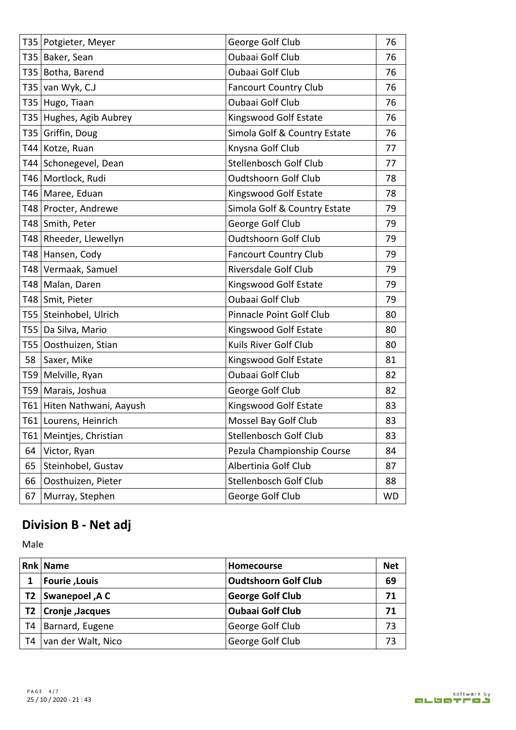|    | T35   Potgieter, Meyer     | George Golf Club             | 76        |
|----|----------------------------|------------------------------|-----------|
|    | T35   Baker, Sean          | Oubaai Golf Club             | 76        |
|    | T35 Botha, Barend          | Oubaai Golf Club             | 76        |
|    | T35 van Wyk, $C.J$         | <b>Fancourt Country Club</b> | 76        |
|    | T35 Hugo, Tiaan            | Oubaai Golf Club             | 76        |
|    | T35 Hughes, Agib Aubrey    | Kingswood Golf Estate        | 76        |
|    | T35 Griffin, Doug          | Simola Golf & Country Estate | 76        |
|    | T44 Kotze, Ruan            | Knysna Golf Club             | 77        |
|    | T44 Schonegevel, Dean      | Stellenbosch Golf Club       | 77        |
|    | T46 Mortlock, Rudi         | <b>Oudtshoorn Golf Club</b>  | 78        |
|    | T46   Maree, Eduan         | Kingswood Golf Estate        | 78        |
|    | T48 Procter, Andrewe       | Simola Golf & Country Estate | 79        |
|    | T48 Smith, Peter           | George Golf Club             | 79        |
|    | T48 Rheeder, Llewellyn     | <b>Oudtshoorn Golf Club</b>  | 79        |
|    | T48 Hansen, Cody           | <b>Fancourt Country Club</b> | 79        |
|    | T48 Vermaak, Samuel        | Riversdale Golf Club         | 79        |
|    | T48   Malan, Daren         | Kingswood Golf Estate        | 79        |
|    | T48 Smit, Pieter           | Oubaai Golf Club             | 79        |
|    | T55 Steinhobel, Ulrich     | Pinnacle Point Golf Club     | 80        |
|    | T55   Da Silva, Mario      | Kingswood Golf Estate        | 80        |
|    | T55 Oosthuizen, Stian      | Kuils River Golf Club        | 80        |
|    | 58 Saxer, Mike             | Kingswood Golf Estate        | 81        |
|    | T59 Melville, Ryan         | Oubaai Golf Club             | 82        |
|    | T59 Marais, Joshua         | George Golf Club             | 82        |
|    | T61 Hiten Nathwani, Aayush | Kingswood Golf Estate        | 83        |
|    | T61 Lourens, Heinrich      | Mossel Bay Golf Club         | 83        |
|    | T61 Meintjes, Christian    | Stellenbosch Golf Club       | 83        |
| 64 | Victor, Ryan               | Pezula Championship Course   | 84        |
| 65 | Steinhobel, Gustav         | Albertinia Golf Club         | 87        |
| 66 | Oosthuizen, Pieter         | Stellenbosch Golf Club       | 88        |
| 67 | Murray, Stephen            | George Golf Club             | <b>WD</b> |

# **Division B - Net adj**

Male

|    | <b>Rnk Name</b>            | <b>Homecourse</b>           | <b>Net</b> |
|----|----------------------------|-----------------------------|------------|
|    | <b>Fourie, Louis</b>       | <b>Oudtshoorn Golf Club</b> | 69         |
| T2 | <b>Swanepoel, A C</b>      | <b>George Golf Club</b>     | 71         |
|    | <b>T2</b> Cronje , Jacques | 'Oubaai Golf Club           | 71         |
| Т4 | Barnard, Eugene            | George Golf Club            | 73         |
| T4 | van der Walt, Nico         | George Golf Club            | 73         |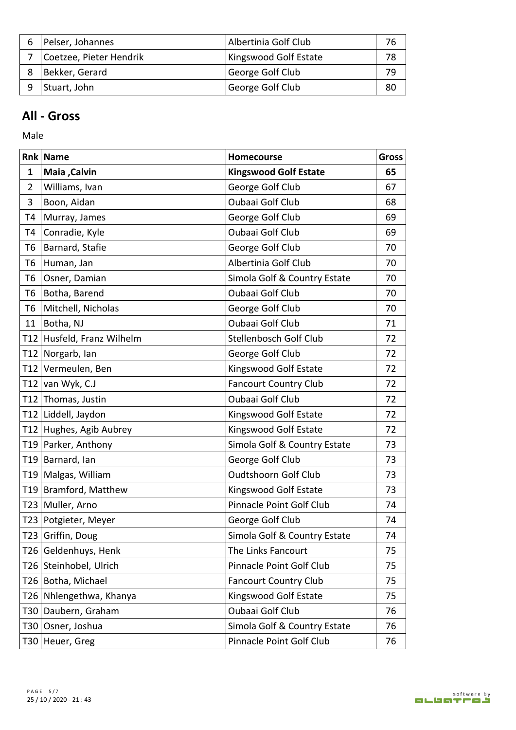| Pelser, Johannes        | Albertinia Golf Club  | 76 |
|-------------------------|-----------------------|----|
| Coetzee, Pieter Hendrik | Kingswood Golf Estate | 78 |
| Bekker, Gerard          | George Golf Club      | 79 |
| Stuart, John            | George Golf Club      | 80 |

### **All - Gross**

Male

|    | <b>Rnk Name</b>            | Homecourse                   | <b>Gross</b> |
|----|----------------------------|------------------------------|--------------|
| 1  | <b>Maia, Calvin</b>        | <b>Kingswood Golf Estate</b> | 65           |
| 2  | Williams, Ivan             | George Golf Club             | 67           |
| 3  | Boon, Aidan                | Oubaai Golf Club             | 68           |
| T4 | Murray, James              | George Golf Club             | 69           |
| T4 | Conradie, Kyle             | Oubaai Golf Club             | 69           |
|    | T6   Barnard, Stafie       | George Golf Club             | 70           |
|    | T6 Human, Jan              | Albertinia Golf Club         | 70           |
|    | T6   Osner, Damian         | Simola Golf & Country Estate | 70           |
| T6 | Botha, Barend              | Oubaai Golf Club             | 70           |
|    | T6   Mitchell, Nicholas    | George Golf Club             | 70           |
| 11 | Botha, NJ                  | Oubaai Golf Club             | 71           |
|    | T12 Husfeld, Franz Wilhelm | Stellenbosch Golf Club       | 72           |
|    | T12 Norgarb, Ian           | George Golf Club             | 72           |
|    | T12 Vermeulen, Ben         | Kingswood Golf Estate        | 72           |
|    | T12 van Wyk, C.J           | <b>Fancourt Country Club</b> | 72           |
|    | T12 Thomas, Justin         | Oubaai Golf Club             | 72           |
|    | T12 Liddell, Jaydon        | Kingswood Golf Estate        | 72           |
|    | T12 Hughes, Agib Aubrey    | Kingswood Golf Estate        | 72           |
|    | T19 Parker, Anthony        | Simola Golf & Country Estate | 73           |
|    | T19 Barnard, Ian           | George Golf Club             | 73           |
|    | T19 Malgas, William        | <b>Oudtshoorn Golf Club</b>  | 73           |
|    | T19 Bramford, Matthew      | Kingswood Golf Estate        | 73           |
|    | T23 Muller, Arno           | Pinnacle Point Golf Club     | 74           |
|    | T23 Potgieter, Meyer       | George Golf Club             | 74           |
|    | T23 Griffin, Doug          | Simola Golf & Country Estate | 74           |
|    | T26 Geldenhuys, Henk       | The Links Fancourt           | 75           |
|    | T26 Steinhobel, Ulrich     | Pinnacle Point Golf Club     | 75           |
|    | T26 Botha, Michael         | <b>Fancourt Country Club</b> | 75           |
|    | T26 Nhlengethwa, Khanya    | Kingswood Golf Estate        | 75           |
|    | T30 Daubern, Graham        | Oubaai Golf Club             | 76           |
|    | T30 Osner, Joshua          | Simola Golf & Country Estate | 76           |
|    | T30 Heuer, Greg            | Pinnacle Point Golf Club     | 76           |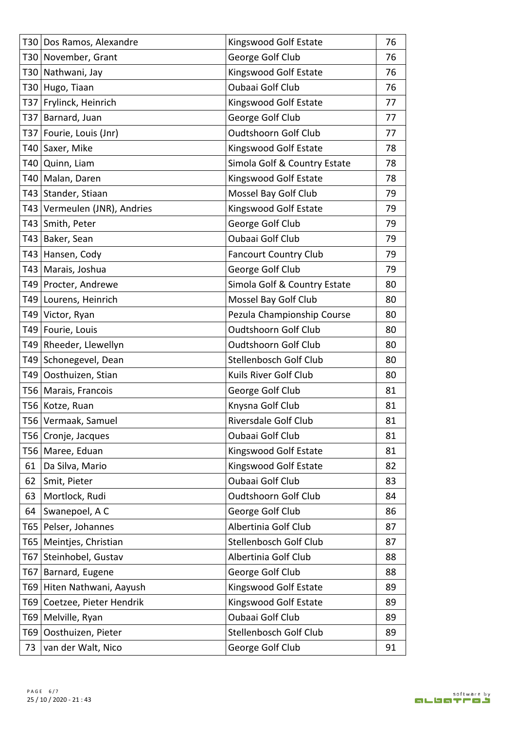|    | T30 Dos Ramos, Alexandre     | Kingswood Golf Estate        | 76 |
|----|------------------------------|------------------------------|----|
|    | T30 November, Grant          | George Golf Club             | 76 |
|    | T30 Nathwani, Jay            | Kingswood Golf Estate        | 76 |
|    | T30 Hugo, Tiaan              | <b>Oubaai Golf Club</b>      | 76 |
|    | T37 Frylinck, Heinrich       | Kingswood Golf Estate        | 77 |
|    | T37 Barnard, Juan            | George Golf Club             | 77 |
|    | T37   Fourie, Louis (Jnr)    | <b>Oudtshoorn Golf Club</b>  | 77 |
|    | T40 Saxer, Mike              | Kingswood Golf Estate        | 78 |
|    | T40 Quinn, Liam              | Simola Golf & Country Estate | 78 |
|    | T40 Malan, Daren             | Kingswood Golf Estate        | 78 |
|    | T43 Stander, Stiaan          | Mossel Bay Golf Club         | 79 |
|    | T43 Vermeulen (JNR), Andries | Kingswood Golf Estate        | 79 |
|    | T43 Smith, Peter             | George Golf Club             | 79 |
|    | T43 Baker, Sean              | Oubaai Golf Club             | 79 |
|    | T43 Hansen, Cody             | <b>Fancourt Country Club</b> | 79 |
|    | T43   Marais, Joshua         | George Golf Club             | 79 |
|    | T49 Procter, Andrewe         | Simola Golf & Country Estate | 80 |
|    | T49 Lourens, Heinrich        | Mossel Bay Golf Club         | 80 |
|    | T49 Victor, Ryan             | Pezula Championship Course   | 80 |
|    | T49 Fourie, Louis            | <b>Oudtshoorn Golf Club</b>  | 80 |
|    | T49 Rheeder, Llewellyn       | <b>Oudtshoorn Golf Club</b>  | 80 |
|    | T49 Schonegevel, Dean        | Stellenbosch Golf Club       | 80 |
|    | T49 Oosthuizen, Stian        | Kuils River Golf Club        | 80 |
|    | T56   Marais, Francois       | George Golf Club             | 81 |
|    | T56 Kotze, Ruan              | Knysna Golf Club             | 81 |
|    | T56 Vermaak, Samuel          | Riversdale Golf Club         | 81 |
|    | T56   Cronje, Jacques        | Oubaai Golf Club             | 81 |
|    | T56 Maree, Eduan             | Kingswood Golf Estate        | 81 |
| 61 | Da Silva, Mario              | Kingswood Golf Estate        | 82 |
| 62 | Smit, Pieter                 | Oubaai Golf Club             | 83 |
|    | 63 Mortlock, Rudi            | <b>Oudtshoorn Golf Club</b>  | 84 |
| 64 | Swanepoel, A C               | George Golf Club             | 86 |
|    | T65 Pelser, Johannes         | Albertinia Golf Club         | 87 |
|    | T65   Meintjes, Christian    | Stellenbosch Golf Club       | 87 |
|    | T67 Steinhobel, Gustav       | Albertinia Golf Club         | 88 |
|    | T67 Barnard, Eugene          | George Golf Club             | 88 |
|    | T69 Hiten Nathwani, Aayush   | Kingswood Golf Estate        | 89 |
|    | T69 Coetzee, Pieter Hendrik  | Kingswood Golf Estate        | 89 |
|    | T69   Melville, Ryan         | Oubaai Golf Club             | 89 |
|    | T69 Oosthuizen, Pieter       | Stellenbosch Golf Club       | 89 |
|    | 73 van der Walt, Nico        | George Golf Club             | 91 |
|    |                              |                              |    |